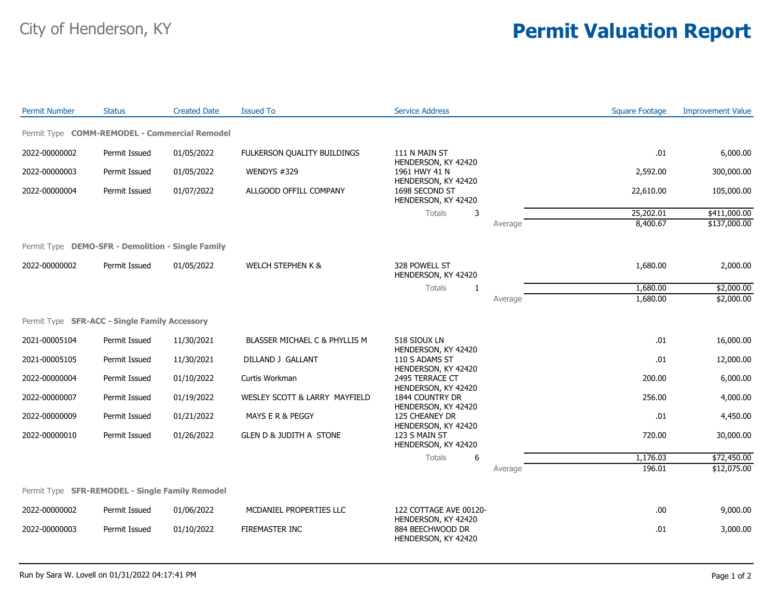## City of Henderson, KY **Permit Valuation Report**

| <b>Permit Number</b>                              | <b>Status</b> | <b>Created Date</b> | <b>Issued To</b>                   | <b>Service Address</b>                                                                   |         | <b>Square Footage</b> | <b>Improvement Value</b> |
|---------------------------------------------------|---------------|---------------------|------------------------------------|------------------------------------------------------------------------------------------|---------|-----------------------|--------------------------|
| Permit Type COMM-REMODEL - Commercial Remodel     |               |                     |                                    |                                                                                          |         |                       |                          |
| 2022-00000002                                     | Permit Issued | 01/05/2022          | FULKERSON QUALITY BUILDINGS        | 111 N MAIN ST<br>HENDERSON, KY 42420<br>1961 HWY 41 N                                    |         | .01                   | 6,000.00                 |
| 2022-00000003                                     | Permit Issued | 01/05/2022          | WENDYS #329                        |                                                                                          |         | 2,592.00              | 300,000.00               |
| 2022-00000004                                     | Permit Issued | 01/07/2022          | ALLGOOD OFFILL COMPANY             | HENDERSON, KY 42420<br>1698 SECOND ST<br>HENDERSON, KY 42420                             |         | 22,610.00             | 105,000.00               |
|                                                   |               |                     |                                    | Totals<br>3                                                                              |         | 25,202.01             | \$411,000.00             |
|                                                   |               |                     |                                    |                                                                                          | Average | 8,400.67              | \$137,000.00             |
| Permit Type DEMO-SFR - Demolition - Single Family |               |                     |                                    |                                                                                          |         |                       |                          |
| 2022-00000002                                     | Permit Issued | 01/05/2022          | <b>WELCH STEPHEN K &amp;</b>       | 328 POWELL ST<br>HENDERSON, KY 42420                                                     |         | 1,680.00              | 2,000.00                 |
|                                                   |               |                     |                                    | Totals<br>1                                                                              |         | 1,680.00              | \$2,000.00               |
|                                                   |               |                     |                                    |                                                                                          | Average | 1,680.00              | \$2,000.00               |
| Permit Type SFR-ACC - Single Family Accessory     |               |                     |                                    |                                                                                          |         |                       |                          |
| 2021-00005104                                     | Permit Issued | 11/30/2021          | BLASSER MICHAEL C & PHYLLIS M      | 518 SIOUX LN<br>HENDERSON, KY 42420                                                      |         | .01                   | 16,000.00                |
| 2021-00005105                                     | Permit Issued | 11/30/2021          | DILLAND J GALLANT                  | 110 S ADAMS ST<br>HENDERSON, KY 42420                                                    |         | .01                   | 12,000.00                |
| 2022-00000004                                     | Permit Issued | 01/10/2022          | Curtis Workman                     | 2495 TERRACE CT<br>HENDERSON, KY 42420                                                   |         | 200.00                | 6,000.00                 |
| 2022-00000007                                     | Permit Issued | 01/19/2022          | WESLEY SCOTT & LARRY MAYFIELD      | 1844 COUNTRY DR<br>HENDERSON, KY 42420                                                   |         | 256.00                | 4,000.00                 |
| 2022-00000009                                     | Permit Issued | 01/21/2022          | MAYS E R & PEGGY                   | 125 CHEANEY DR<br>HENDERSON, KY 42420                                                    |         | .01                   | 4,450.00                 |
| 2022-00000010                                     | Permit Issued | 01/26/2022          | <b>GLEN D &amp; JUDITH A STONE</b> | 123 S MAIN ST<br>HENDERSON, KY 42420                                                     |         | 720.00                | 30,000.00                |
|                                                   |               |                     |                                    | Totals<br>6                                                                              |         | 1,176.03              | \$72,450.00              |
|                                                   |               |                     |                                    |                                                                                          | Average | 196.01                | \$12,075.00              |
| Permit Type SFR-REMODEL - Single Family Remodel   |               |                     |                                    |                                                                                          |         |                       |                          |
| 2022-00000002                                     | Permit Issued | 01/06/2022          | MCDANIEL PROPERTIES LLC            | 122 COTTAGE AVE 00120-<br>HENDERSON, KY 42420<br>884 BEECHWOOD DR<br>HENDERSON, KY 42420 |         | .00                   | 9,000.00                 |
| 2022-00000003                                     | Permit Issued | 01/10/2022          | <b>FIREMASTER INC</b>              |                                                                                          |         | .01                   | 3,000.00                 |